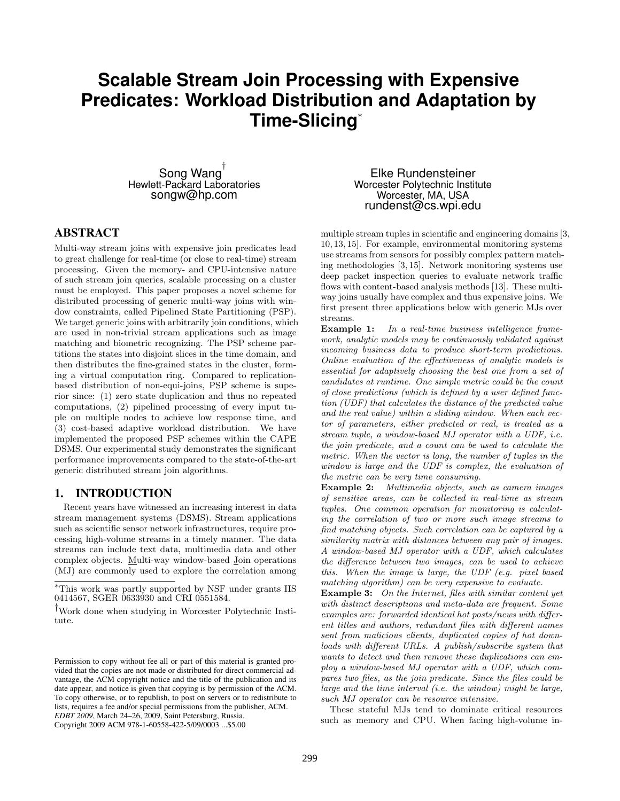# **Scalable Stream Join Processing with Expensive Predicates: Workload Distribution and Adaptation by Time-Slicing**<sup>∗</sup>

 $\mathsf{Song} \ \mathsf{Wang}^\dagger$ Hewlett-Packard Laboratories songw@hp.com

# ABSTRACT

Multi-way stream joins with expensive join predicates lead to great challenge for real-time (or close to real-time) stream processing. Given the memory- and CPU-intensive nature of such stream join queries, scalable processing on a cluster must be employed. This paper proposes a novel scheme for distributed processing of generic multi-way joins with window constraints, called Pipelined State Partitioning (PSP). We target generic joins with arbitrarily join conditions, which are used in non-trivial stream applications such as image matching and biometric recognizing. The PSP scheme partitions the states into disjoint slices in the time domain, and then distributes the fine-grained states in the cluster, forming a virtual computation ring. Compared to replicationbased distribution of non-equi-joins, PSP scheme is superior since: (1) zero state duplication and thus no repeated computations, (2) pipelined processing of every input tuple on multiple nodes to achieve low response time, and (3) cost-based adaptive workload distribution. We have implemented the proposed PSP schemes within the CAPE DSMS. Our experimental study demonstrates the significant performance improvements compared to the state-of-the-art generic distributed stream join algorithms.

# 1. INTRODUCTION

Recent years have witnessed an increasing interest in data stream management systems (DSMS). Stream applications such as scientific sensor network infrastructures, require processing high-volume streams in a timely manner. The data streams can include text data, multimedia data and other complex objects. Multi-way window-based Join operations (MJ) are commonly used to explore the correlation among

Elke Rundensteiner Worcester Polytechnic Institute Worcester, MA, USA rundenst@cs.wpi.edu

multiple stream tuples in scientific and engineering domains [3, 10, 13, 15]. For example, environmental monitoring systems use streams from sensors for possibly complex pattern matching methodologies [3, 15]. Network monitoring systems use deep packet inspection queries to evaluate network traffic flows with content-based analysis methods [13]. These multiway joins usually have complex and thus expensive joins. We first present three applications below with generic MJs over streams.

Example 1: In a real-time business intelligence framework, analytic models may be continuously validated against incoming business data to produce short-term predictions. Online evaluation of the effectiveness of analytic models is essential for adaptively choosing the best one from a set of candidates at runtime. One simple metric could be the count of close predictions (which is defined by a user defined function (UDF) that calculates the distance of the predicted value and the real value) within a sliding window. When each vector of parameters, either predicted or real, is treated as a stream tuple, a window-based MJ operator with a UDF, i.e. the join predicate, and a count can be used to calculate the metric. When the vector is long, the number of tuples in the window is large and the UDF is complex, the evaluation of the metric can be very time consuming.

Example 2: Multimedia objects, such as camera images of sensitive areas, can be collected in real-time as stream tuples. One common operation for monitoring is calculating the correlation of two or more such image streams to find matching objects. Such correlation can be captured by a similarity matrix with distances between any pair of images. A window-based MJ operator with a UDF, which calculates the difference between two images, can be used to achieve this. When the image is large, the UDF (e.g. pixel based matching algorithm) can be very expensive to evaluate.

Example 3: On the Internet, files with similar content yet with distinct descriptions and meta-data are frequent. Some examples are: forwarded identical hot posts/news with different titles and authors, redundant files with different names sent from malicious clients, duplicated copies of hot downloads with different URLs. A publish/subscribe system that wants to detect and then remove these duplications can employ a window-based MJ operator with a UDF, which compares two files, as the join predicate. Since the files could be large and the time interval (i.e. the window) might be large, such MJ operator can be resource intensive.

These stateful MJs tend to dominate critical resources such as memory and CPU. When facing high-volume in-

<sup>∗</sup>This work was partly supported by NSF under grants IIS 0414567, SGER 0633930 and CRI 0551584.

<sup>†</sup>Work done when studying in Worcester Polytechnic Institute.

Permission to copy without fee all or part of this material is granted provided that the copies are not made or distributed for direct commercial advantage, the ACM copyright notice and the title of the publication and its date appear, and notice is given that copying is by permission of the ACM. To copy otherwise, or to republish, to post on servers or to redistribute to lists, requires a fee and/or special permissions from the publisher, ACM. *EDBT 2009*, March 24–26, 2009, Saint Petersburg, Russia. Copyright 2009 ACM 978-1-60558-422-5/09/0003 ...\$5.00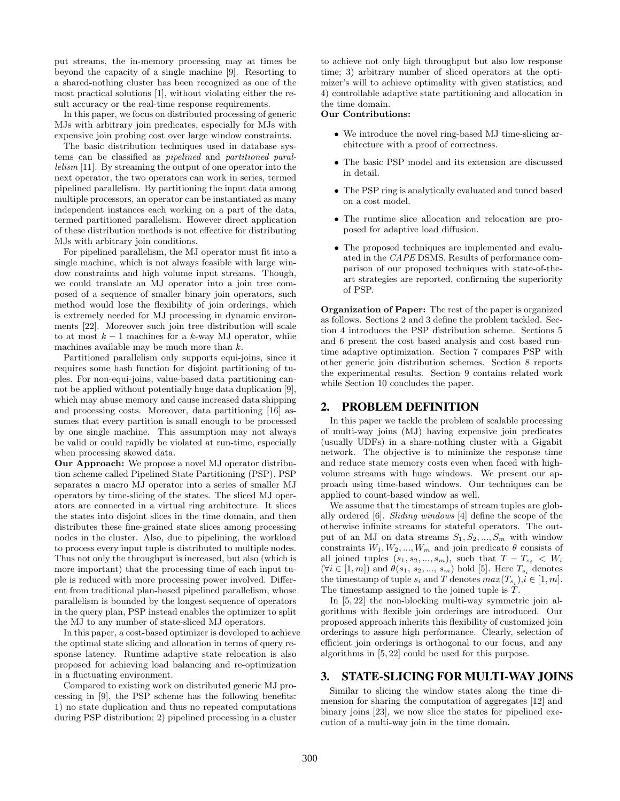put streams, the in-memory processing may at times be beyond the capacity of a single machine [9]. Resorting to a shared-nothing cluster has been recognized as one of the most practical solutions [1], without violating either the result accuracy or the real-time response requirements.

In this paper, we focus on distributed processing of generic MJs with arbitrary join predicates, especially for MJs with expensive join probing cost over large window constraints.

The basic distribution techniques used in database systems can be classified as pipelined and partitioned parallelism [11]. By streaming the output of one operator into the next operator, the two operators can work in series, termed pipelined parallelism. By partitioning the input data among multiple processors, an operator can be instantiated as many independent instances each working on a part of the data, termed partitioned parallelism. However direct application of these distribution methods is not effective for distributing MJs with arbitrary join conditions.

For pipelined parallelism, the MJ operator must fit into a single machine, which is not always feasible with large window constraints and high volume input streams. Though, we could translate an MJ operator into a join tree composed of a sequence of smaller binary join operators, such method would lose the flexibility of join orderings, which is extremely needed for MJ processing in dynamic environments [22]. Moreover such join tree distribution will scale to at most  $k-1$  machines for a k-way MJ operator, while machines available may be much more than k.

Partitioned parallelism only supports equi-joins, since it requires some hash function for disjoint partitioning of tuples. For non-equi-joins, value-based data partitioning cannot be applied without potentially huge data duplication [9], which may abuse memory and cause increased data shipping and processing costs. Moreover, data partitioning [16] assumes that every partition is small enough to be processed by one single machine. This assumption may not always be valid or could rapidly be violated at run-time, especially when processing skewed data.

Our Approach: We propose a novel MJ operator distribution scheme called Pipelined State Partitioning (PSP). PSP separates a macro MJ operator into a series of smaller MJ operators by time-slicing of the states. The sliced MJ operators are connected in a virtual ring architecture. It slices the states into disjoint slices in the time domain, and then distributes these fine-grained state slices among processing nodes in the cluster. Also, due to pipelining, the workload to process every input tuple is distributed to multiple nodes. Thus not only the throughput is increased, but also (which is more important) that the processing time of each input tuple is reduced with more processing power involved. Different from traditional plan-based pipelined parallelism, whose parallelism is bounded by the longest sequence of operators in the query plan, PSP instead enables the optimizer to split the MJ to any number of state-sliced MJ operators.

In this paper, a cost-based optimizer is developed to achieve the optimal state slicing and allocation in terms of query response latency. Runtime adaptive state relocation is also proposed for achieving load balancing and re-optimization in a fluctuating environment.

Compared to existing work on distributed generic MJ processing in [9], the PSP scheme has the following benefits: 1) no state duplication and thus no repeated computations during PSP distribution; 2) pipelined processing in a cluster to achieve not only high throughput but also low response time; 3) arbitrary number of sliced operators at the optimizer's will to achieve optimality with given statistics; and 4) controllable adaptive state partitioning and allocation in the time domain.

#### Our Contributions:

- We introduce the novel ring-based MJ time-slicing architecture with a proof of correctness.
- The basic PSP model and its extension are discussed in detail.
- The PSP ring is analytically evaluated and tuned based on a cost model.
- The runtime slice allocation and relocation are proposed for adaptive load diffusion.
- The proposed techniques are implemented and evaluated in the CAPE DSMS. Results of performance comparison of our proposed techniques with state-of-theart strategies are reported, confirming the superiority of PSP.

Organization of Paper: The rest of the paper is organized as follows. Sections 2 and 3 define the problem tackled. Section 4 introduces the PSP distribution scheme. Sections 5 and 6 present the cost based analysis and cost based runtime adaptive optimization. Section 7 compares PSP with other generic join distribution schemes. Section 8 reports the experimental results. Section 9 contains related work while Section 10 concludes the paper.

### 2. PROBLEM DEFINITION

In this paper we tackle the problem of scalable processing of multi-way joins (MJ) having expensive join predicates (usually UDFs) in a share-nothing cluster with a Gigabit network. The objective is to minimize the response time and reduce state memory costs even when faced with highvolume streams with huge windows. We present our approach using time-based windows. Our techniques can be applied to count-based window as well.

We assume that the timestamps of stream tuples are globally ordered [6]. Sliding windows [4] define the scope of the otherwise infinite streams for stateful operators. The output of an MJ on data streams  $S_1, S_2, ..., S_m$  with window constraints  $W_1, W_2, ..., W_m$  and join predicate  $\theta$  consists of all joined tuples  $(s_1, s_2, ..., s_m)$ , such that  $T - T_{s_i} < W_i$  $(\forall i \in [1,m])$  and  $\theta(s_1,\,s_2,...,\,s_m)$  hold [5]. Here  $T_{s_i}$  denotes the timestamp of tuple  $s_i$  and T denotes  $max(T_{s_i}), i \in [1, m]$ . The timestamp assigned to the joined tuple is T.

In [5, 22] the non-blocking multi-way symmetric join algorithms with flexible join orderings are introduced. Our proposed approach inherits this flexibility of customized join orderings to assure high performance. Clearly, selection of efficient join orderings is orthogonal to our focus, and any algorithms in [5, 22] could be used for this purpose.

# 3. STATE-SLICING FOR MULTI-WAY JOINS

Similar to slicing the window states along the time dimension for sharing the computation of aggregates [12] and binary joins [23], we now slice the states for pipelined execution of a multi-way join in the time domain.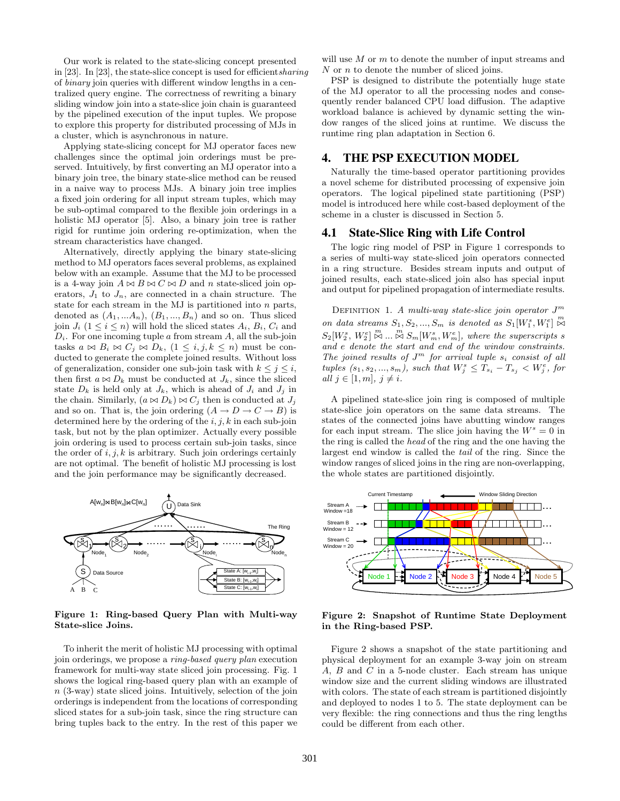Our work is related to the state-slicing concept presented in [23]. In [23], the state-slice concept is used for efficient sharing of binary join queries with different window lengths in a centralized query engine. The correctness of rewriting a binary sliding window join into a state-slice join chain is guaranteed by the pipelined execution of the input tuples. We propose to explore this property for distributed processing of MJs in a cluster, which is asynchronous in nature.

Applying state-slicing concept for MJ operator faces new challenges since the optimal join orderings must be preserved. Intuitively, by first converting an MJ operator into a binary join tree, the binary state-slice method can be reused in a naive way to process MJs. A binary join tree implies a fixed join ordering for all input stream tuples, which may be sub-optimal compared to the flexible join orderings in a holistic MJ operator [5]. Also, a binary join tree is rather rigid for runtime join ordering re-optimization, when the stream characteristics have changed.

Alternatively, directly applying the binary state-slicing method to MJ operators faces several problems, as explained below with an example. Assume that the MJ to be processed is a 4-way join  $A \bowtie B \bowtie C \bowtie D$  and n state-sliced join operators,  $J_1$  to  $J_n$ , are connected in a chain structure. The state for each stream in the MJ is partitioned into  $n$  parts, denoted as  $(A_1, \ldots, A_n), (B_1, \ldots, B_n)$  and so on. Thus sliced join  $J_i$   $(1 \leq i \leq n)$  will hold the sliced states  $A_i$ ,  $B_i$ ,  $C_i$  and  $D_i$ . For one incoming tuple a from stream A, all the sub-join tasks  $a \bowtie B_i \bowtie C_j \bowtie D_k$ ,  $(1 \leq i, j, k \leq n)$  must be conducted to generate the complete joined results. Without loss of generalization, consider one sub-join task with  $k \leq j \leq i$ , then first  $a \bowtie D_k$  must be conducted at  $J_k$ , since the sliced state  $D_k$  is held only at  $J_k$ , which is ahead of  $J_i$  and  $J_j$  in the chain. Similarly,  $(a \bowtie D_k) \bowtie C_j$  then is conducted at  $J_j$ and so on. That is, the join ordering  $(A \to D \to C \to B)$  is determined here by the ordering of the  $i, j, k$  in each sub-join task, but not by the plan optimizer. Actually every possible join ordering is used to process certain sub-join tasks, since the order of  $i, j, k$  is arbitrary. Such join orderings certainly are not optimal. The benefit of holistic MJ processing is lost and the join performance may be significantly decreased.



Figure 1: Ring-based Query Plan with Multi-way State-slice Joins.

To inherit the merit of holistic MJ processing with optimal join orderings, we propose a ring-based query plan execution framework for multi-way state sliced join processing. Fig. 1 shows the logical ring-based query plan with an example of  $n$  (3-way) state sliced joins. Intuitively, selection of the join orderings is independent from the locations of corresponding sliced states for a sub-join task, since the ring structure can bring tuples back to the entry. In the rest of this paper we will use  $M$  or  $m$  to denote the number of input streams and N or  $n$  to denote the number of sliced joins.

PSP is designed to distribute the potentially huge state of the MJ operator to all the processing nodes and consequently render balanced CPU load diffusion. The adaptive workload balance is achieved by dynamic setting the window ranges of the sliced joins at runtime. We discuss the runtime ring plan adaptation in Section 6.

# 4. THE PSP EXECUTION MODEL

Naturally the time-based operator partitioning provides a novel scheme for distributed processing of expensive join operators. The logical pipelined state partitioning (PSP) model is introduced here while cost-based deployment of the scheme in a cluster is discussed in Section 5.

### 4.1 State-Slice Ring with Life Control

The logic ring model of PSP in Figure 1 corresponds to a series of multi-way state-sliced join operators connected in a ring structure. Besides stream inputs and output of joined results, each state-sliced join also has special input and output for pipelined propagation of intermediate results.

DEFINITION 1. A multi-way state-slice join operator  $J^m$ on data streams  $S_1, S_2, ..., S_m$  is denoted as  $S_1[W_1^s, W_1^e] \overset{m}{\bowtie}$  $S_2[W_2^s, W_2^e] \stackrel{m}{\bowtie} ... \stackrel{m}{\bowtie} S_m[W_m^s, W_m^e],$  where the superscripts s and e denote the start and end of the window constraints. The joined results of  $J^m$  for arrival tuple  $s_i$  consist of all tuples  $(s_1, s_2, ..., s_m)$ , such that  $W_j^s \leq T_{s_i} - T_{s_j} < W_j^e$ , for all  $j \in [1, m], j \neq i$ .

A pipelined state-slice join ring is composed of multiple state-slice join operators on the same data streams. The states of the connected joins have abutting window ranges for each input stream. The slice join having the  $W^s = 0$  in the ring is called the head of the ring and the one having the largest end window is called the tail of the ring. Since the window ranges of sliced joins in the ring are non-overlapping, the whole states are partitioned disjointly.



Figure 2: Snapshot of Runtime State Deployment in the Ring-based PSP.

Figure 2 shows a snapshot of the state partitioning and physical deployment for an example 3-way join on stream A, B and C in a 5-node cluster. Each stream has unique window size and the current sliding windows are illustrated with colors. The state of each stream is partitioned disjointly and deployed to nodes 1 to 5. The state deployment can be very flexible: the ring connections and thus the ring lengths could be different from each other.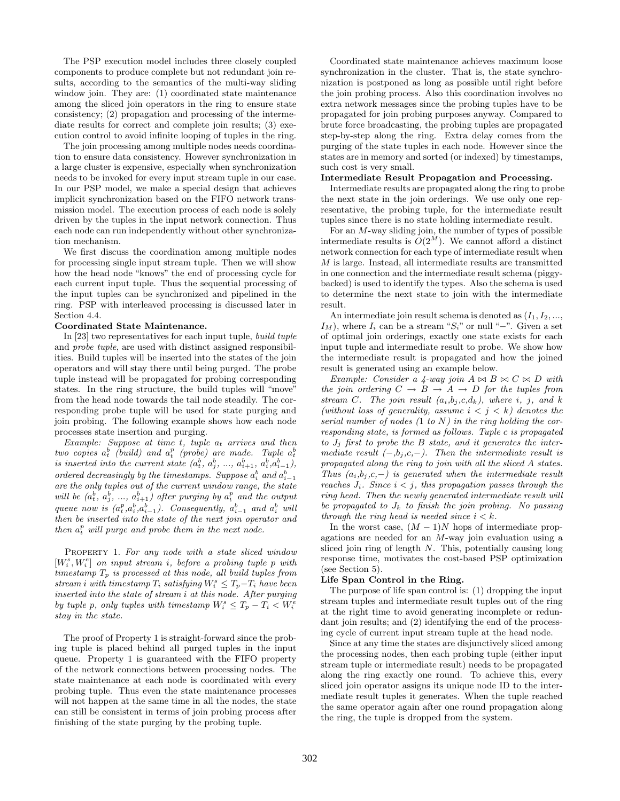The PSP execution model includes three closely coupled components to produce complete but not redundant join results, according to the semantics of the multi-way sliding window join. They are: (1) coordinated state maintenance among the sliced join operators in the ring to ensure state consistency; (2) propagation and processing of the intermediate results for correct and complete join results; (3) execution control to avoid infinite looping of tuples in the ring.

The join processing among multiple nodes needs coordination to ensure data consistency. However synchronization in a large cluster is expensive, especially when synchronization needs to be invoked for every input stream tuple in our case. In our PSP model, we make a special design that achieves implicit synchronization based on the FIFO network transmission model. The execution process of each node is solely driven by the tuples in the input network connection. Thus each node can run independently without other synchronization mechanism.

We first discuss the coordination among multiple nodes for processing single input stream tuple. Then we will show how the head node "knows" the end of processing cycle for each current input tuple. Thus the sequential processing of the input tuples can be synchronized and pipelined in the ring. PSP with interleaved processing is discussed later in Section 4.4.

#### Coordinated State Maintenance.

In [23] two representatives for each input tuple, build tuple and probe tuple, are used with distinct assigned responsibilities. Build tuples will be inserted into the states of the join operators and will stay there until being purged. The probe tuple instead will be propagated for probing corresponding states. In the ring structure, the build tuples will "move" from the head node towards the tail node steadily. The corresponding probe tuple will be used for state purging and join probing. The following example shows how each node processes state insertion and purging.

Example: Suppose at time  $t$ , tuple  $a_t$  arrives and then two copies  $a_t^b$  (build) and  $a_t^p$  (probe) are made. Tuple  $a_t^b$ is inserted into the current state  $(a_t^b, a_j^b, ..., a_{i+1}^b, a_i^b, a_{i-1}^b)$ , ordered decreasingly by the timestamps. Suppose  $a_i^b$  and  $a_{i-1}^b$ are the only tuples out of the current window range, the state will be  $(a_t^b, a_j^b, ..., a_{i+1}^b)$  after purging by  $a_t^p$  and the output queue now is  $(a_t^p, a_t^b, a_{i-1}^b)$ . Consequently,  $a_{i-1}^b$  and  $a_t^b$  will then be inserted into the state of the next join operator and then  $a_t^p$  will purge and probe them in the next node.

PROPERTY 1. For any node with a state sliced window  $[W_i^s, W_i^e]$  on input stream i, before a probing tuple p with timestamp  $T_p$  is processed at this node, all build tuples from stream i with timestamp  $T_i$  satisfying  $W_i^s \leq T_p - T_i$  have been inserted into the state of stream i at this node. After purging by tuple p, only tuples with timestamp  $W_i^s \leq T_p - T_i < W_i^e$ stay in the state.

The proof of Property 1 is straight-forward since the probing tuple is placed behind all purged tuples in the input queue. Property 1 is guaranteed with the FIFO property of the network connections between processing nodes. The state maintenance at each node is coordinated with every probing tuple. Thus even the state maintenance processes will not happen at the same time in all the nodes, the state can still be consistent in terms of join probing process after finishing of the state purging by the probing tuple.

Coordinated state maintenance achieves maximum loose synchronization in the cluster. That is, the state synchronization is postponed as long as possible until right before the join probing process. Also this coordination involves no extra network messages since the probing tuples have to be propagated for join probing purposes anyway. Compared to brute force broadcasting, the probing tuples are propagated step-by-step along the ring. Extra delay comes from the purging of the state tuples in each node. However since the states are in memory and sorted (or indexed) by timestamps, such cost is very small.

#### Intermediate Result Propagation and Processing.

Intermediate results are propagated along the ring to probe the next state in the join orderings. We use only one representative, the probing tuple, for the intermediate result tuples since there is no state holding intermediate result.

For an  $M$ -way sliding join, the number of types of possible intermediate results is  $O(2^M)$ . We cannot afford a distinct network connection for each type of intermediate result when  $M$  is large. Instead, all intermediate results are transmitted in one connection and the intermediate result schema (piggybacked) is used to identify the types. Also the schema is used to determine the next state to join with the intermediate result.

An intermediate join result schema is denoted as  $(I_1, I_2, \ldots, I_n)$  $I_M$ ), where  $I_i$  can be a stream " $S_i$ " or null "−". Given a set of optimal join orderings, exactly one state exists for each input tuple and intermediate result to probe. We show how the intermediate result is propagated and how the joined result is generated using an example below.

Example: Consider a 4-way join  $A \bowtie B \bowtie C \bowtie D$  with the join ordering  $C \rightarrow B \rightarrow A \rightarrow D$  for the tuples from stream C. The join result  $(a_i,b_j,c,d_k)$ , where i, j, and k (without loss of generality, assume  $i < j < k$ ) denotes the serial number of nodes  $(1 \t{to} N)$  in the ring holding the corresponding state, is formed as follows. Tuple c is propagated to  $J_i$  first to probe the B state, and it generates the intermediate result  $(-,b_i,c,-)$ . Then the intermediate result is propagated along the ring to join with all the sliced A states. Thus  $(a_i, b_i, c, -)$  is generated when the intermediate result reaches  $J_i$ . Since  $i < j$ , this propagation passes through the ring head. Then the newly generated intermediate result will be propagated to  $J_k$  to finish the join probing. No passing through the ring head is needed since  $i < k$ .

In the worst case,  $(M-1)N$  hops of intermediate propagations are needed for an M-way join evaluation using a sliced join ring of length  $N$ . This, potentially causing long response time, motivates the cost-based PSP optimization (see Section 5).

### Life Span Control in the Ring.

The purpose of life span control is: (1) dropping the input stream tuples and intermediate result tuples out of the ring at the right time to avoid generating incomplete or redundant join results; and (2) identifying the end of the processing cycle of current input stream tuple at the head node.

Since at any time the states are disjunctively sliced among the processing nodes, then each probing tuple (either input stream tuple or intermediate result) needs to be propagated along the ring exactly one round. To achieve this, every sliced join operator assigns its unique node ID to the intermediate result tuples it generates. When the tuple reached the same operator again after one round propagation along the ring, the tuple is dropped from the system.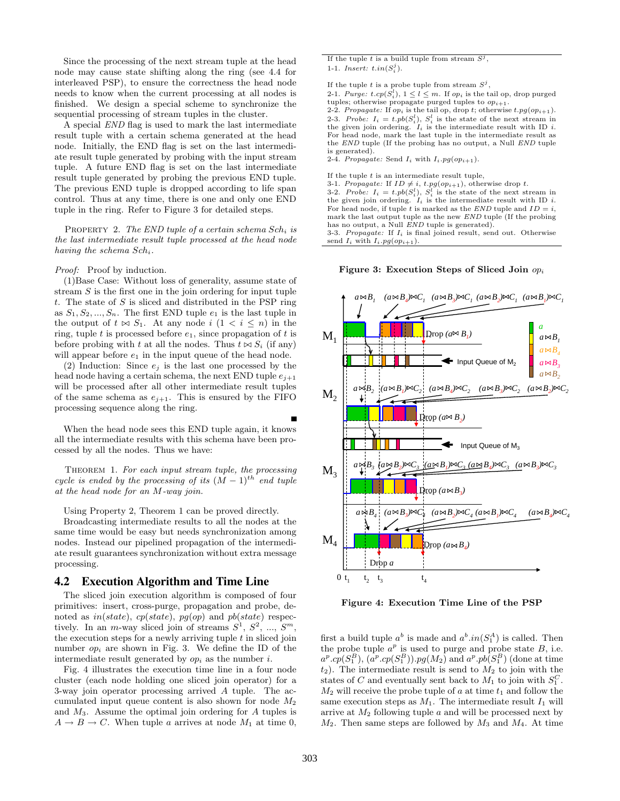Since the processing of the next stream tuple at the head node may cause state shifting along the ring (see 4.4 for interleaved PSP), to ensure the correctness the head node needs to know when the current processing at all nodes is finished. We design a special scheme to synchronize the sequential processing of stream tuples in the cluster.

A special END flag is used to mark the last intermediate result tuple with a certain schema generated at the head node. Initially, the END flag is set on the last intermediate result tuple generated by probing with the input stream tuple. A future END flag is set on the last intermediate result tuple generated by probing the previous END tuple. The previous END tuple is dropped according to life span control. Thus at any time, there is one and only one END tuple in the ring. Refer to Figure 3 for detailed steps.

PROPERTY 2. The END tuple of a certain schema  $Sch_i$  is the last intermediate result tuple processed at the head node having the schema  $Sch_i$ .

#### Proof: Proof by induction.

(1)Base Case: Without loss of generality, assume state of stream  $S$  is the first one in the join ordering for input tuple t. The state of  $S$  is sliced and distributed in the PSP ring as  $S_1, S_2, ..., S_n$ . The first END tuple  $e_1$  is the last tuple in the output of  $t \bowtie S_1$ . At any node  $i$   $(1 \lt i \leq n)$  in the ring, tuple t is processed before  $e_1$ , since propagation of t is before probing with t at all the nodes. Thus  $t \bowtie S_i$  (if any) will appear before  $e_1$  in the input queue of the head node.

(2) Induction: Since  $e_i$  is the last one processed by the head node having a certain schema, the next END tuple  $e_{i+1}$ will be processed after all other intermediate result tuples of the same schema as  $e_{i+1}$ . This is ensured by the FIFO processing sequence along the ring.

When the head node sees this END tuple again, it knows all the intermediate results with this schema have been processed by all the nodes. Thus we have:

THEOREM 1. For each input stream tuple, the processing cycle is ended by the processing of its  $(M-1)$ <sup>th</sup> end tuple at the head node for an M-way join.

Using Property 2, Theorem 1 can be proved directly.

Broadcasting intermediate results to all the nodes at the same time would be easy but needs synchronization among nodes. Instead our pipelined propagation of the intermediate result guarantees synchronization without extra message processing.

#### 4.2 Execution Algorithm and Time Line

The sliced join execution algorithm is composed of four primitives: insert, cross-purge, propagation and probe, denoted as  $in(state), cp(state), pq(op)$  and  $pb(state)$  respectively. In an *m*-way sliced join of streams  $S^1$ ,  $S^2$ , ...,  $S^m$ , the execution steps for a newly arriving tuple  $t$  in sliced join number  $op_i$  are shown in Fig. 3. We define the ID of the intermediate result generated by  $op_i$  as the number i.

Fig. 4 illustrates the execution time line in a four node cluster (each node holding one sliced join operator) for a 3-way join operator processing arrived A tuple. The accumulated input queue content is also shown for node  $M_2$ and  $M_3$ . Assume the optimal join ordering for A tuples is  $A \rightarrow B \rightarrow C$ . When tuple a arrives at node  $M_1$  at time 0, If the tuple t is a build tuple from stream  $S^j$ , 1-1. Insert:  $t.in(S_i^j)$ .

If the tuple t is a probe tuple from stream  $S^j$ , 2-1. Purge:  $t.\text{cp}(S_i^l)$ ,  $1 \leq l \leq m$ . If  $\text{op}_i$  is the tail op, drop purged

tuples; otherwise propagate purged tuples to  $op_{i+1}$ .<br>2-2. Propagate: If  $op_i$  is the tail op, drop t; otherwise t.pg( $op_{i+1}$ ). 2-3. Probe:  $I_i = t$ .  $pb(S_i^l)$ ,  $S_i^l$  is the state of the next stream in the given join ordering.  $I_i$  is the intermediate result with ID *i*. For head node, mark the last tuple in the intermediate result as the END tuple (If the probing has no output, a Null END tuple is generated).

2-4. Propagate: Send  $I_i$  with  $I_i$ .pg(op<sub>i+1</sub>).

If the tuple  $t$  is an intermediate result tuple,

3-1. Propagate: If  $ID \neq i$ ,  $t.pg(op_{i+1})$ , otherwise drop t.

3-2. Probe:  $I_i = t.pb(S_i^l), S_i^l$  is the state of the next stream in the given join ordering.  $I_i$  is the intermediate result with ID *i*. For head node, if tuple t is marked as the *END* tuple and  $ID = i$ , mark the last output tuple as the new END tuple (If the probing has no output, a Null  $END$  tuple is generated).

3-3. Propagate: If  $I_i$  is final joined result, send out. Otherwise send  $I_i$  with  $I_i$ .pg( $op_{i+1}$ ).



Figure 3: Execution Steps of Sliced Join  $op_i$ 

Figure 4: Execution Time Line of the PSP

first a build tuple  $a^b$  is made and  $a^b.in(S_1^A)$  is called. Then the probe tuple  $a^p$  is used to purge and probe state B, i.e.  $a^p.c p(S_1^B), (a^p.c p(S_1^B)).p g(M_2)$  and  $a^p.p b(S_1^B)$  (done at time  $t_2$ ). The intermediate result is send to  $M_2$  to join with the states of C and eventually sent back to  $M_1$  to join with  $S_1^C$ .  $M_2$  will receive the probe tuple of a at time  $t_1$  and follow the same execution steps as  $M_1$ . The intermediate result  $I_1$  will arrive at  $M_2$  following tuple  $a$  and will be processed next by  $M_2$ . Then same steps are followed by  $M_3$  and  $M_4$ . At time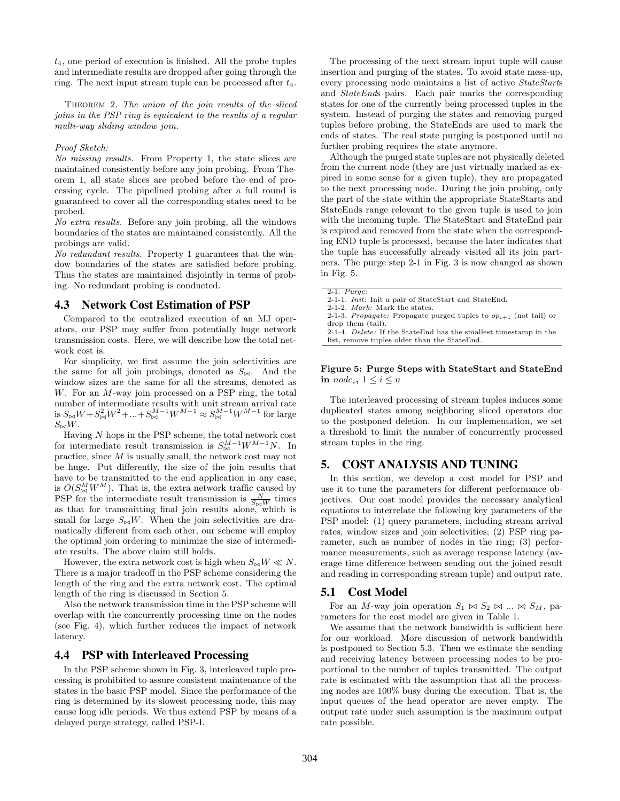$t_4$ , one period of execution is finished. All the probe tuples and intermediate results are dropped after going through the ring. The next input stream tuple can be processed after  $t_4$ .

THEOREM 2. The union of the join results of the sliced joins in the PSP ring is equivalent to the results of a regular multi-way sliding window join.

#### Proof Sketch:

No missing results. From Property 1, the state slices are maintained consistently before any join probing. From Theorem 1, all state slices are probed before the end of processing cycle. The pipelined probing after a full round is guaranteed to cover all the corresponding states need to be probed.

No extra results. Before any join probing, all the windows boundaries of the states are maintained consistently. All the probings are valid.

No redundant results. Property 1 guarantees that the window boundaries of the states are satisfied before probing. Thus the states are maintained disjointly in terms of probing. No redundant probing is conducted.

### 4.3 Network Cost Estimation of PSP

Compared to the centralized execution of an MJ operators, our PSP may suffer from potentially huge network transmission costs. Here, we will describe how the total network cost is.

For simplicity, we first assume the join selectivities are the same for all join probings, denoted as  $S_{\bowtie}$ . And the window sizes are the same for all the streams, denoted as W. For an M-way join processed on a PSP ring, the total number of intermediate results with unit stream arrival rate is  $S_{\bowtie}W + S_{\bowtie}^2 W^2 + ... + S_{\bowtie}^{M-1} W^{M-1} \approx S_{\bowtie}^{M-1} W^{M-1}$  for large  $S_{\bowtie}W$ .

Having N hops in the PSP scheme, the total network cost for intermediate result transmission is  $S_{\bowtie}^{M-1}W^{M-1}N$ . In practice, since M is usually small, the network cost may not be huge. Put differently, the size of the join results that have to be transmitted to the end application in any case, is  $O(S^M_\bowtie W^M)$ . That is, the extra network traffic caused by PSP for the intermediate result transmission is  $\frac{N}{S_{\infty}W}$  times as that for transmitting final join results alone, which is small for large  $S_{\bowtie}W$ . When the join selectivities are dramatically different from each other, our scheme will employ the optimal join ordering to minimize the size of intermediate results. The above claim still holds.

However, the extra network cost is high when  $S_{\bowtie} W \ll N$ . There is a major tradeoff in the PSP scheme considering the length of the ring and the extra network cost. The optimal length of the ring is discussed in Section 5.

Also the network transmission time in the PSP scheme will overlap with the concurrently processing time on the nodes (see Fig. 4), which further reduces the impact of network latency.

### 4.4 PSP with Interleaved Processing

In the PSP scheme shown in Fig. 3, interleaved tuple processing is prohibited to assure consistent maintenance of the states in the basic PSP model. Since the performance of the ring is determined by its slowest processing node, this may cause long idle periods. We thus extend PSP by means of a delayed purge strategy, called PSP-I.

The processing of the next stream input tuple will cause insertion and purging of the states. To avoid state mess-up, every processing node maintains a list of active StateStarts and StateEnds pairs. Each pair marks the corresponding states for one of the currently being processed tuples in the system. Instead of purging the states and removing purged tuples before probing, the StateEnds are used to mark the ends of states. The real state purging is postponed until no further probing requires the state anymore.

Although the purged state tuples are not physically deleted from the current node (they are just virtually marked as expired in some sense for a given tuple), they are propagated to the next processing node. During the join probing, only the part of the state within the appropriate StateStarts and StateEnds range relevant to the given tuple is used to join with the incoming tuple. The StateStart and StateEnd pair is expired and removed from the state when the corresponding END tuple is processed, because the later indicates that the tuple has successfully already visited all its join partners. The purge step 2-1 in Fig. 3 is now changed as shown in Fig. 5.

- 2-1-3. Propagate: Propagate purged tuples to  $op_{i+1}$  (not tail) or
- drop them (tail).

2-1-4. Delete: If the StateEnd has the smallest timestamp in the list, remove tuples older than the StateEnd.

#### Figure 5: Purge Steps with StateStart and StateEnd in  $node_i$ ,  $1 \leq i \leq n$

The interleaved processing of stream tuples induces some duplicated states among neighboring sliced operators due to the postponed deletion. In our implementation, we set a threshold to limit the number of concurrently processed stream tuples in the ring.

# 5. COST ANALYSIS AND TUNING

In this section, we develop a cost model for PSP and use it to tune the parameters for different performance objectives. Our cost model provides the necessary analytical equations to interrelate the following key parameters of the PSP model: (1) query parameters, including stream arrival rates, window sizes and join selectivities; (2) PSP ring parameter, such as number of nodes in the ring; (3) performance measurements, such as average response latency (average time difference between sending out the joined result and reading in corresponding stream tuple) and output rate.

### 5.1 Cost Model

For an M-way join operation  $S_1 \bowtie S_2 \bowtie ... \bowtie S_M$ , parameters for the cost model are given in Table 1.

We assume that the network bandwidth is sufficient here for our workload. More discussion of network bandwidth is postponed to Section 5.3. Then we estimate the sending and receiving latency between processing nodes to be proportional to the number of tuples transmitted. The output rate is estimated with the assumption that all the processing nodes are 100% busy during the execution. That is, the input queues of the head operator are never empty. The output rate under such assumption is the maximum output rate possible.

<sup>2-1.</sup> Purge: 2-1-1. Init: Init a pair of StateStart and StateEnd.

<sup>2-1-2.</sup> Mark: Mark the states.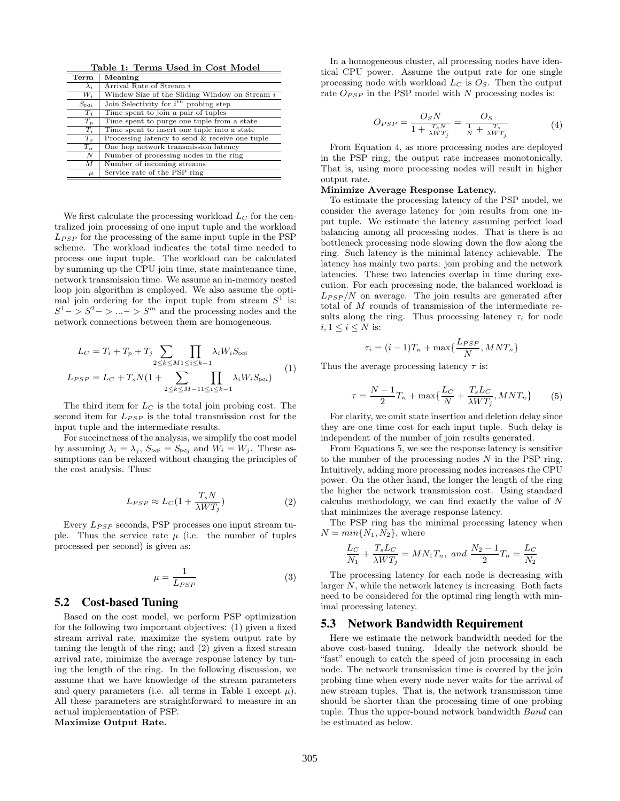Table 1: Terms Used in Cost Model

| Term                                     | Meaning                                        |
|------------------------------------------|------------------------------------------------|
| $\lambda_i$                              | Arrival Rate of Stream i                       |
| $\overline{W_i}$                         | Window Size of the Sliding Window on Stream i  |
| $S_{\triangleright\!\!\!\triangleleft}i$ | Join Selectivity for $i^{th}$ probing step     |
| $T_i$                                    | Time spent to join a pair of tuples            |
| $T_p$                                    | Time spent to purge one tuple from a state     |
| $T_i$                                    | Time spent to insert one tuple into a state    |
| $T_s$                                    | Processing latency to send & receive one tuple |
| $T_n$                                    | One hop network transmission latency           |
| N                                        | Number of processing nodes in the ring         |
| M                                        | Number of incoming streams                     |
| $\mu$                                    | Service rate of the PSP ring                   |

We first calculate the processing workload  $L<sub>C</sub>$  for the centralized join processing of one input tuple and the workload  $L_{PSP}$  for the processing of the same input tuple in the PSP scheme. The workload indicates the total time needed to process one input tuple. The workload can be calculated by summing up the CPU join time, state maintenance time, network transmission time. We assume an in-memory nested loop join algorithm is employed. We also assume the optimal join ordering for the input tuple from stream  $S^1$  is:  $S^1$  – >  $S^2$  – > ... – >  $S^m$  and the processing nodes and the network connections between them are homogeneous.

$$
L_C = T_i + T_p + T_j \sum_{2 \le k \le M} \prod_{1 \le i \le k-1} \lambda_i W_i S_{\bowtie i}
$$
  
\n
$$
L_{PSP} = L_C + T_s N (1 + \sum_{2 \le k \le M-1} \prod_{1 \le i \le k-1} \lambda_i W_i S_{\bowtie i})
$$
 (1)

The third item for  $L_C$  is the total join probing cost. The second item for  $L_{PSP}$  is the total transmission cost for the input tuple and the intermediate results.

For succinctness of the analysis, we simplify the cost model by assuming  $\lambda_i = \lambda_j$ ,  $S_{\bowtie i} = S_{\bowtie j}$  and  $W_i = W_j$ . These assumptions can be relaxed without changing the principles of the cost analysis. Thus:

$$
L_{PSP} \approx L_C (1 + \frac{T_s N}{\lambda W T_j})
$$
\n(2)

Every  $L_{PSP}$  seconds, PSP processes one input stream tuple. Thus the service rate  $\mu$  (i.e. the number of tuples processed per second) is given as:

$$
\mu = \frac{1}{L_{PSP}}\tag{3}
$$

### 5.2 Cost-based Tuning

Based on the cost model, we perform PSP optimization for the following two important objectives: (1) given a fixed stream arrival rate, maximize the system output rate by tuning the length of the ring; and (2) given a fixed stream arrival rate, minimize the average response latency by tuning the length of the ring. In the following discussion, we assume that we have knowledge of the stream parameters and query parameters (i.e. all terms in Table 1 except  $\mu$ ). All these parameters are straightforward to measure in an actual implementation of PSP. Maximize Output Rate.

In a homogeneous cluster, all processing nodes have identical CPU power. Assume the output rate for one single processing node with workload  $L<sub>C</sub>$  is  $O<sub>S</sub>$ . Then the output rate  $O_{PSP}$  in the PSP model with N processing nodes is:

$$
O_{PSP} = \frac{O_S N}{1 + \frac{T_s N}{\lambda W T_j}} = \frac{O_S}{\frac{1}{N} + \frac{T_s}{\lambda W T_j}}
$$
(4)

From Equation 4, as more processing nodes are deployed in the PSP ring, the output rate increases monotonically. That is, using more processing nodes will result in higher output rate.

#### Minimize Average Response Latency.

To estimate the processing latency of the PSP model, we consider the average latency for join results from one input tuple. We estimate the latency assuming perfect load balancing among all processing nodes. That is there is no bottleneck processing node slowing down the flow along the ring. Such latency is the minimal latency achievable. The latency has mainly two parts: join probing and the network latencies. These two latencies overlap in time during execution. For each processing node, the balanced workload is  $L_{PSP}/N$  on average. The join results are generated after total of M rounds of transmission of the intermediate results along the ring. Thus processing latency  $\tau_i$  for node  $i, 1 \leq i \leq N$  is:

$$
\tau_i = (i-1)T_n + \max\{\frac{L_{PSP}}{N}, MNT_n\}
$$

Thus the average processing latency  $\tau$  is:

$$
\tau = \frac{N-1}{2}T_n + \max\{\frac{L_C}{N} + \frac{T_s L_C}{\lambda WT_j}, MNT_n\} \tag{5}
$$

For clarity, we omit state insertion and deletion delay since they are one time cost for each input tuple. Such delay is independent of the number of join results generated.

From Equations 5, we see the response latency is sensitive to the number of the processing nodes  $N$  in the PSP ring. Intuitively, adding more processing nodes increases the CPU power. On the other hand, the longer the length of the ring the higher the network transmission cost. Using standard calculus methodology, we can find exactly the value of N that minimizes the average response latency.

The PSP ring has the minimal processing latency when  $N = min\{N_1, N_2\}$ , where

$$
\frac{L_C}{N_1} + \frac{T_s L_C}{\lambda W T_j} = MN_1 T_n, \text{ and } \frac{N_2 - 1}{2} T_n = \frac{L_C}{N_2}
$$

The processing latency for each node is decreasing with larger N, while the network latency is increasing. Both facts need to be considered for the optimal ring length with minimal processing latency.

### 5.3 Network Bandwidth Requirement

Here we estimate the network bandwidth needed for the above cost-based tuning. Ideally the network should be "fast" enough to catch the speed of join processing in each node. The network transmission time is covered by the join probing time when every node never waits for the arrival of new stream tuples. That is, the network transmission time should be shorter than the processing time of one probing tuple. Thus the upper-bound network bandwidth Band can be estimated as below.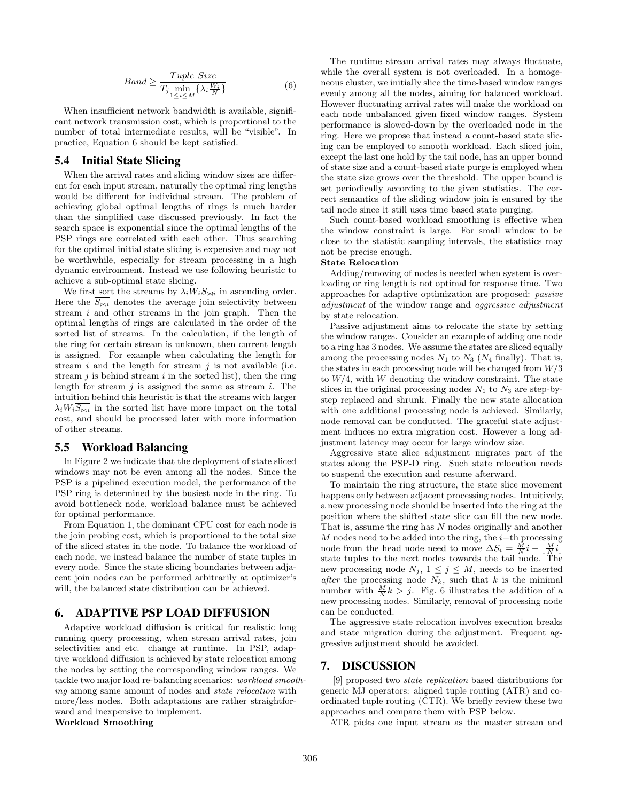$$
Band \ge \frac{Tuple\_Size}{T_j \min_{1 \le i \le M} \{\lambda_i \frac{W_i}{N}\}} \tag{6}
$$

When insufficient network bandwidth is available, significant network transmission cost, which is proportional to the number of total intermediate results, will be "visible". In practice, Equation 6 should be kept satisfied.

# 5.4 Initial State Slicing

When the arrival rates and sliding window sizes are different for each input stream, naturally the optimal ring lengths would be different for individual stream. The problem of achieving global optimal lengths of rings is much harder than the simplified case discussed previously. In fact the search space is exponential since the optimal lengths of the PSP rings are correlated with each other. Thus searching for the optimal initial state slicing is expensive and may not be worthwhile, especially for stream processing in a high dynamic environment. Instead we use following heuristic to achieve a sub-optimal state slicing.

We first sort the streams by  $\lambda_i \widetilde{W}_i \overline{S_{\bowtie i}}$  in ascending order. Here the  $\overline{S_{\bowtie i}}$  denotes the average join selectivity between stream  $i$  and other streams in the join graph. Then the optimal lengths of rings are calculated in the order of the sorted list of streams. In the calculation, if the length of the ring for certain stream is unknown, then current length is assigned. For example when calculating the length for stream  $i$  and the length for stream  $j$  is not available (i.e. stream  $i$  is behind stream  $i$  in the sorted list), then the ring length for stream  $j$  is assigned the same as stream  $i$ . The intuition behind this heuristic is that the streams with larger  $\lambda_i W_i S_{\bowtie i}$  in the sorted list have more impact on the total cost, and should be processed later with more information of other streams.

### 5.5 Workload Balancing

In Figure 2 we indicate that the deployment of state sliced windows may not be even among all the nodes. Since the PSP is a pipelined execution model, the performance of the PSP ring is determined by the busiest node in the ring. To avoid bottleneck node, workload balance must be achieved for optimal performance.

From Equation 1, the dominant CPU cost for each node is the join probing cost, which is proportional to the total size of the sliced states in the node. To balance the workload of each node, we instead balance the number of state tuples in every node. Since the state slicing boundaries between adjacent join nodes can be performed arbitrarily at optimizer's will, the balanced state distribution can be achieved.

# 6. ADAPTIVE PSP LOAD DIFFUSION

Adaptive workload diffusion is critical for realistic long running query processing, when stream arrival rates, join selectivities and etc. change at runtime. In PSP, adaptive workload diffusion is achieved by state relocation among the nodes by setting the corresponding window ranges. We tackle two major load re-balancing scenarios: workload smoothing among same amount of nodes and state relocation with more/less nodes. Both adaptations are rather straightforward and inexpensive to implement.

Workload Smoothing

The runtime stream arrival rates may always fluctuate, while the overall system is not overloaded. In a homogeneous cluster, we initially slice the time-based window ranges evenly among all the nodes, aiming for balanced workload. However fluctuating arrival rates will make the workload on each node unbalanced given fixed window ranges. System performance is slowed-down by the overloaded node in the ring. Here we propose that instead a count-based state slicing can be employed to smooth workload. Each sliced join, except the last one hold by the tail node, has an upper bound of state size and a count-based state purge is employed when the state size grows over the threshold. The upper bound is set periodically according to the given statistics. The correct semantics of the sliding window join is ensured by the tail node since it still uses time based state purging.

Such count-based workload smoothing is effective when the window constraint is large. For small window to be close to the statistic sampling intervals, the statistics may not be precise enough.

#### State Relocation

Adding/removing of nodes is needed when system is overloading or ring length is not optimal for response time. Two approaches for adaptive optimization are proposed: passive adjustment of the window range and *aggressive adjustment* by state relocation.

Passive adjustment aims to relocate the state by setting the window ranges. Consider an example of adding one node to a ring has 3 nodes. We assume the states are sliced equally among the processing nodes  $N_1$  to  $N_3$  ( $N_4$  finally). That is, the states in each processing node will be changed from  $W/3$ to  $W/4$ , with W denoting the window constraint. The state slices in the original processing nodes  $N_1$  to  $N_3$  are step-bystep replaced and shrunk. Finally the new state allocation with one additional processing node is achieved. Similarly, node removal can be conducted. The graceful state adjustment induces no extra migration cost. However a long adjustment latency may occur for large window size.

Aggressive state slice adjustment migrates part of the states along the PSP-D ring. Such state relocation needs to suspend the execution and resume afterward.

To maintain the ring structure, the state slice movement happens only between adjacent processing nodes. Intuitively, a new processing node should be inserted into the ring at the position where the shifted state slice can fill the new node. That is, assume the ring has  $N$  nodes originally and another M nodes need to be added into the ring, the  $i$ -th processing node from the head node need to move  $\Delta S_i = \frac{M}{N} i - \lfloor \frac{M}{N} i \rfloor$ state tuples to the next nodes towards the tail node. The new processing node  $N_j$ ,  $1 \leq j \leq M$ , needs to be inserted after the processing node  $N_k$ , such that k is the minimal number with  $\frac{M}{N}k > j$ . Fig. 6 illustrates the addition of a new processing nodes. Similarly, removal of processing node can be conducted.

The aggressive state relocation involves execution breaks and state migration during the adjustment. Frequent aggressive adjustment should be avoided.

### 7. DISCUSSION

[9] proposed two state replication based distributions for generic MJ operators: aligned tuple routing (ATR) and coordinated tuple routing (CTR). We briefly review these two approaches and compare them with PSP below.

ATR picks one input stream as the master stream and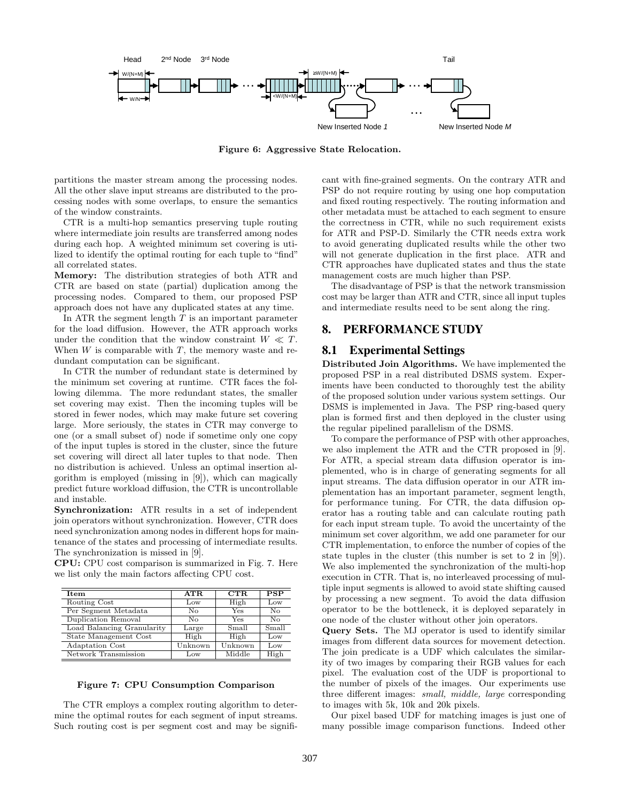

Figure 6: Aggressive State Relocation.

partitions the master stream among the processing nodes. All the other slave input streams are distributed to the processing nodes with some overlaps, to ensure the semantics of the window constraints.

CTR is a multi-hop semantics preserving tuple routing where intermediate join results are transferred among nodes during each hop. A weighted minimum set covering is utilized to identify the optimal routing for each tuple to "find" all correlated states.

Memory: The distribution strategies of both ATR and CTR are based on state (partial) duplication among the processing nodes. Compared to them, our proposed PSP approach does not have any duplicated states at any time.

In ATR the segment length  $T$  is an important parameter for the load diffusion. However, the ATR approach works under the condition that the window constraint  $W \ll T$ . When  $W$  is comparable with  $T$ , the memory waste and redundant computation can be significant.

In CTR the number of redundant state is determined by the minimum set covering at runtime. CTR faces the following dilemma. The more redundant states, the smaller set covering may exist. Then the incoming tuples will be stored in fewer nodes, which may make future set covering large. More seriously, the states in CTR may converge to one (or a small subset of) node if sometime only one copy of the input tuples is stored in the cluster, since the future set covering will direct all later tuples to that node. Then no distribution is achieved. Unless an optimal insertion algorithm is employed (missing in [9]), which can magically predict future workload diffusion, the CTR is uncontrollable and instable.

Synchronization: ATR results in a set of independent join operators without synchronization. However, CTR does need synchronization among nodes in different hops for maintenance of the states and processing of intermediate results. The synchronization is missed in [9].

CPU: CPU cost comparison is summarized in Fig. 7. Here we list only the main factors affecting CPU cost.

| <b>Item</b>                | ATR     | CTR     | <b>PSP</b> |
|----------------------------|---------|---------|------------|
| Routing Cost               | Low     | High    | Low        |
| Per Segment Metadata       | Nο      | Yes     | No         |
| Duplication Removal        | No      | Yes     | No         |
| Load Balancing Granularity | Large   | Small   | Small      |
| State Management Cost      | High    | High    | Low        |
| Adaptation Cost            | Unknown | Unknown | Low        |
| Network Transmission       | Low     | Middle  | High       |

#### Figure 7: CPU Consumption Comparison

The CTR employs a complex routing algorithm to determine the optimal routes for each segment of input streams. Such routing cost is per segment cost and may be significant with fine-grained segments. On the contrary ATR and PSP do not require routing by using one hop computation and fixed routing respectively. The routing information and other metadata must be attached to each segment to ensure the correctness in CTR, while no such requirement exists for ATR and PSP-D. Similarly the CTR needs extra work to avoid generating duplicated results while the other two will not generate duplication in the first place. ATR and CTR approaches have duplicated states and thus the state management costs are much higher than PSP.

The disadvantage of PSP is that the network transmission cost may be larger than ATR and CTR, since all input tuples and intermediate results need to be sent along the ring.

# 8. PERFORMANCE STUDY

# 8.1 Experimental Settings

Distributed Join Algorithms. We have implemented the proposed PSP in a real distributed DSMS system. Experiments have been conducted to thoroughly test the ability of the proposed solution under various system settings. Our DSMS is implemented in Java. The PSP ring-based query plan is formed first and then deployed in the cluster using the regular pipelined parallelism of the DSMS.

To compare the performance of PSP with other approaches, we also implement the ATR and the CTR proposed in [9]. For ATR, a special stream data diffusion operator is implemented, who is in charge of generating segments for all input streams. The data diffusion operator in our ATR implementation has an important parameter, segment length, for performance tuning. For CTR, the data diffusion operator has a routing table and can calculate routing path for each input stream tuple. To avoid the uncertainty of the minimum set cover algorithm, we add one parameter for our CTR implementation, to enforce the number of copies of the state tuples in the cluster (this number is set to 2 in [9]). We also implemented the synchronization of the multi-hop execution in CTR. That is, no interleaved processing of multiple input segments is allowed to avoid state shifting caused by processing a new segment. To avoid the data diffusion operator to be the bottleneck, it is deployed separately in one node of the cluster without other join operators.

Query Sets. The MJ operator is used to identify similar images from different data sources for movement detection. The join predicate is a UDF which calculates the similarity of two images by comparing their RGB values for each pixel. The evaluation cost of the UDF is proportional to the number of pixels of the images. Our experiments use three different images: small, middle, large corresponding to images with 5k, 10k and 20k pixels.

Our pixel based UDF for matching images is just one of many possible image comparison functions. Indeed other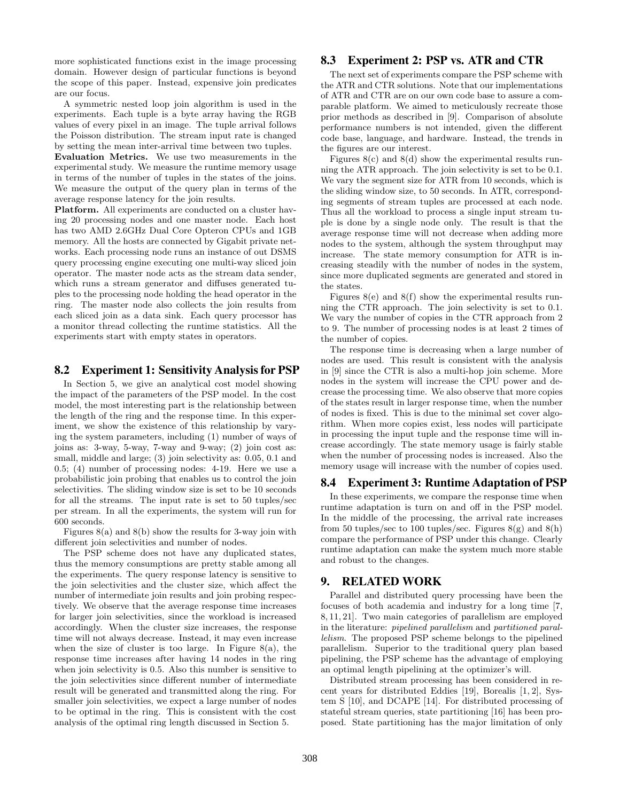more sophisticated functions exist in the image processing domain. However design of particular functions is beyond the scope of this paper. Instead, expensive join predicates are our focus.

A symmetric nested loop join algorithm is used in the experiments. Each tuple is a byte array having the RGB values of every pixel in an image. The tuple arrival follows the Poisson distribution. The stream input rate is changed by setting the mean inter-arrival time between two tuples.

Evaluation Metrics. We use two measurements in the experimental study. We measure the runtime memory usage in terms of the number of tuples in the states of the joins. We measure the output of the query plan in terms of the average response latency for the join results.

Platform. All experiments are conducted on a cluster having 20 processing nodes and one master node. Each host has two AMD 2.6GHz Dual Core Opteron CPUs and 1GB memory. All the hosts are connected by Gigabit private networks. Each processing node runs an instance of out DSMS query processing engine executing one multi-way sliced join operator. The master node acts as the stream data sender, which runs a stream generator and diffuses generated tuples to the processing node holding the head operator in the ring. The master node also collects the join results from each sliced join as a data sink. Each query processor has a monitor thread collecting the runtime statistics. All the experiments start with empty states in operators.

# 8.2 Experiment 1: Sensitivity Analysis for PSP

In Section 5, we give an analytical cost model showing the impact of the parameters of the PSP model. In the cost model, the most interesting part is the relationship between the length of the ring and the response time. In this experiment, we show the existence of this relationship by varying the system parameters, including (1) number of ways of joins as: 3-way, 5-way, 7-way and 9-way; (2) join cost as: small, middle and large; (3) join selectivity as: 0.05, 0.1 and 0.5; (4) number of processing nodes: 4-19. Here we use a probabilistic join probing that enables us to control the join selectivities. The sliding window size is set to be 10 seconds for all the streams. The input rate is set to 50 tuples/sec per stream. In all the experiments, the system will run for 600 seconds.

Figures 8(a) and 8(b) show the results for 3-way join with different join selectivities and number of nodes.

The PSP scheme does not have any duplicated states, thus the memory consumptions are pretty stable among all the experiments. The query response latency is sensitive to the join selectivities and the cluster size, which affect the number of intermediate join results and join probing respectively. We observe that the average response time increases for larger join selectivities, since the workload is increased accordingly. When the cluster size increases, the response time will not always decrease. Instead, it may even increase when the size of cluster is too large. In Figure  $8(a)$ , the response time increases after having 14 nodes in the ring when join selectivity is 0.5. Also this number is sensitive to the join selectivities since different number of intermediate result will be generated and transmitted along the ring. For smaller join selectivities, we expect a large number of nodes to be optimal in the ring. This is consistent with the cost analysis of the optimal ring length discussed in Section 5.

# 8.3 Experiment 2: PSP vs. ATR and CTR

The next set of experiments compare the PSP scheme with the ATR and CTR solutions. Note that our implementations of ATR and CTR are on our own code base to assure a comparable platform. We aimed to meticulously recreate those prior methods as described in [9]. Comparison of absolute performance numbers is not intended, given the different code base, language, and hardware. Instead, the trends in the figures are our interest.

Figures 8(c) and 8(d) show the experimental results running the ATR approach. The join selectivity is set to be 0.1. We vary the segment size for ATR from 10 seconds, which is the sliding window size, to 50 seconds. In ATR, corresponding segments of stream tuples are processed at each node. Thus all the workload to process a single input stream tuple is done by a single node only. The result is that the average response time will not decrease when adding more nodes to the system, although the system throughput may increase. The state memory consumption for ATR is increasing steadily with the number of nodes in the system, since more duplicated segments are generated and stored in the states.

Figures 8(e) and 8(f) show the experimental results running the CTR approach. The join selectivity is set to 0.1. We vary the number of copies in the CTR approach from 2 to 9. The number of processing nodes is at least 2 times of the number of copies.

The response time is decreasing when a large number of nodes are used. This result is consistent with the analysis in [9] since the CTR is also a multi-hop join scheme. More nodes in the system will increase the CPU power and decrease the processing time. We also observe that more copies of the states result in larger response time, when the number of nodes is fixed. This is due to the minimal set cover algorithm. When more copies exist, less nodes will participate in processing the input tuple and the response time will increase accordingly. The state memory usage is fairly stable when the number of processing nodes is increased. Also the memory usage will increase with the number of copies used.

# 8.4 Experiment 3: Runtime Adaptation of PSP

In these experiments, we compare the response time when runtime adaptation is turn on and off in the PSP model. In the middle of the processing, the arrival rate increases from 50 tuples/sec to 100 tuples/sec. Figures  $8(g)$  and  $8(h)$ compare the performance of PSP under this change. Clearly runtime adaptation can make the system much more stable and robust to the changes.

# 9. RELATED WORK

Parallel and distributed query processing have been the focuses of both academia and industry for a long time [7, 8, 11, 21]. Two main categories of parallelism are employed in the literature: pipelined parallelism and partitioned parallelism. The proposed PSP scheme belongs to the pipelined parallelism. Superior to the traditional query plan based pipelining, the PSP scheme has the advantage of employing an optimal length pipelining at the optimizer's will.

Distributed stream processing has been considered in recent years for distributed Eddies [19], Borealis [1, 2], System S [10], and DCAPE [14]. For distributed processing of stateful stream queries, state partitioning [16] has been proposed. State partitioning has the major limitation of only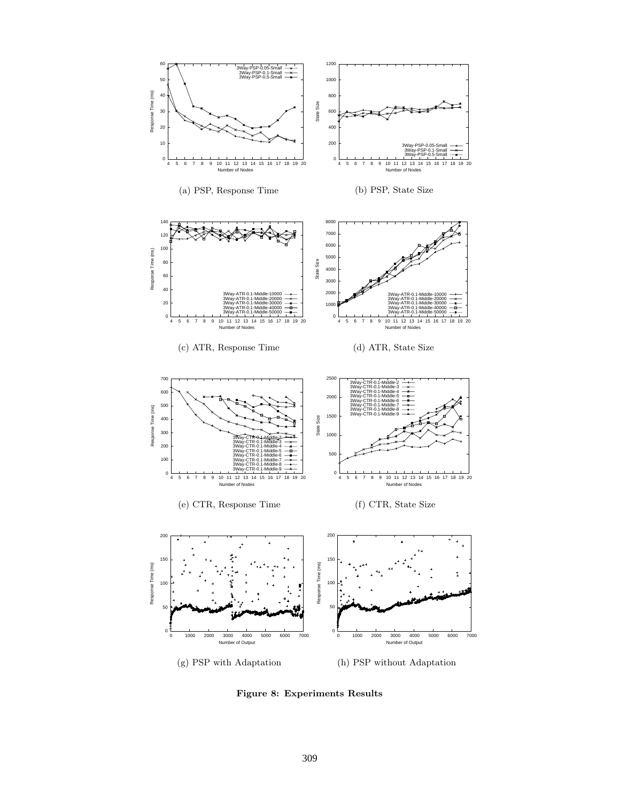

Figure 8: Experiments Results